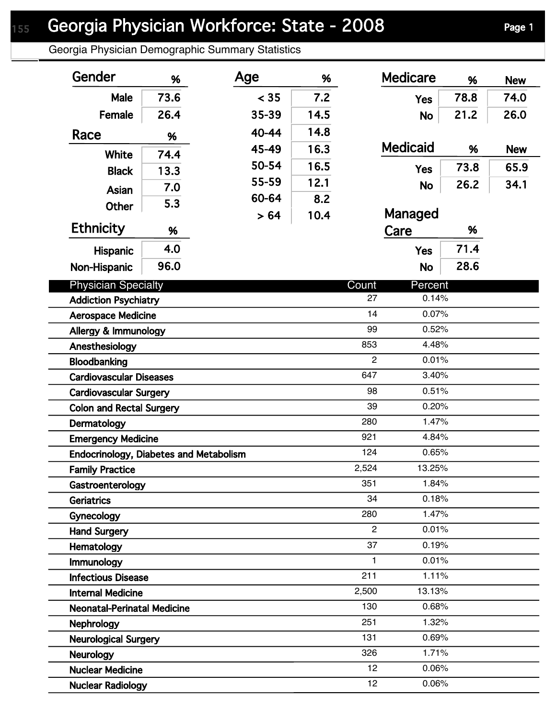Georgia Physician Demographic Summary Statistics

| Gender                                        | %          | Age   | %    |                       | <b>Medicare</b> | %    | <b>New</b> |
|-----------------------------------------------|------------|-------|------|-----------------------|-----------------|------|------------|
| <b>Male</b>                                   | 73.6       | < 35  | 7.2  |                       | <b>Yes</b>      | 78.8 | 74.0       |
| Female                                        | 26.4       | 35-39 | 14.5 |                       | <b>No</b>       | 21.2 | 26.0       |
| Race                                          | %          | 40-44 | 14.8 |                       |                 |      |            |
| White                                         | 74.4       | 45-49 | 16.3 |                       | <b>Medicaid</b> | %    | <b>New</b> |
| <b>Black</b>                                  | 13.3       | 50-54 | 16.5 |                       | <b>Yes</b>      | 73.8 | 65.9       |
|                                               | 7.0        | 55-59 | 12.1 |                       | <b>No</b>       | 26.2 | 34.1       |
| Asian                                         | 5.3        | 60-64 | 8.2  |                       |                 |      |            |
| Other                                         |            | > 64  | 10.4 |                       | Managed         |      |            |
| <b>Ethnicity</b>                              | %          |       |      |                       | Care            | %    |            |
| <b>Hispanic</b>                               | 4.0        |       |      |                       | <b>Yes</b>      | 71.4 |            |
| Non-Hispanic                                  | 96.0       |       |      |                       | <b>No</b>       | 28.6 |            |
| <b>Physician Specialty</b>                    |            |       |      | Count                 | Percent         |      |            |
| <b>Addiction Psychiatry</b>                   |            |       |      | 27                    | 0.14%           |      |            |
| <b>Aerospace Medicine</b>                     |            |       |      | 14                    | 0.07%           |      |            |
| Allergy & Immunology                          |            |       |      | 99                    | 0.52%           |      |            |
| Anesthesiology                                |            |       |      | 853                   | 4.48%           |      |            |
| Bloodbanking                                  |            |       |      | $\overline{2}$        | 0.01%           |      |            |
| <b>Cardiovascular Diseases</b>                |            |       |      | 647                   | 3.40%           |      |            |
| <b>Cardiovascular Surgery</b>                 |            |       |      | 98                    | 0.51%           |      |            |
| <b>Colon and Rectal Surgery</b>               |            |       |      | 39                    | 0.20%           |      |            |
| Dermatology                                   |            |       |      | 280                   | 1.47%           |      |            |
| <b>Emergency Medicine</b>                     |            |       |      | 921                   | 4.84%           |      |            |
| <b>Endocrinology, Diabetes and Metabolism</b> |            |       |      | 124                   | 0.65%           |      |            |
| <b>Family Practice</b>                        |            |       |      | 2,524                 | 13.25%          |      |            |
| Gastroenterology                              |            |       |      | 351                   | 1.84%           |      |            |
| <b>Geriatrics</b>                             |            |       |      | 34                    | 0.18%           |      |            |
|                                               | Gynecology |       |      | 280<br>$\overline{2}$ | 1.47%<br>0.01%  |      |            |
| <b>Hand Surgery</b>                           |            |       |      | 37                    | 0.19%           |      |            |
| Hematology                                    |            |       |      | 1                     | 0.01%           |      |            |
| Immunology<br><b>Infectious Disease</b>       |            |       |      | 211                   | 1.11%           |      |            |
| <b>Internal Medicine</b>                      |            |       |      | 2,500                 | 13.13%          |      |            |
| <b>Neonatal-Perinatal Medicine</b>            |            |       |      | 130                   | 0.68%           |      |            |
| Nephrology                                    |            |       |      | 251                   | 1.32%           |      |            |
| <b>Neurological Surgery</b>                   |            |       |      | 131                   | 0.69%           |      |            |
| Neurology                                     |            |       |      | 326                   | 1.71%           |      |            |
| <b>Nuclear Medicine</b>                       |            |       |      | 12                    | 0.06%           |      |            |
| <b>Nuclear Radiology</b>                      |            |       |      | 12                    | 0.06%           |      |            |